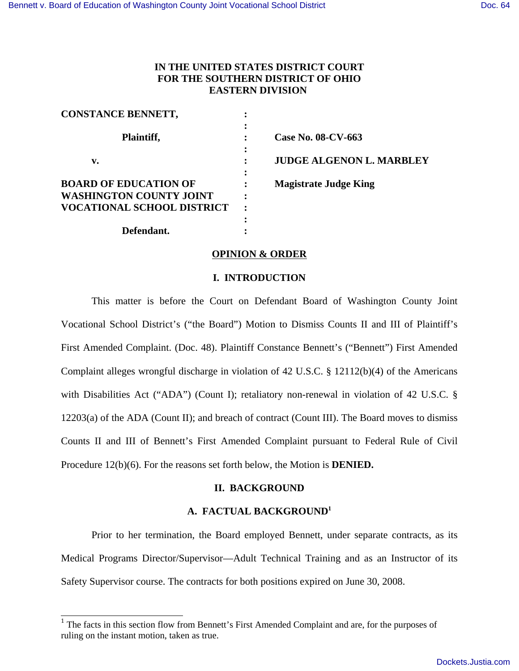## **IN THE UNITED STATES DISTRICT COURT FOR THE SOUTHERN DISTRICT OF OHIO EASTERN DIVISION**

| <b>CONSTANCE BENNETT,</b>                                           |        |                                 |
|---------------------------------------------------------------------|--------|---------------------------------|
| Plaintiff,                                                          |        | Case No. 08-CV-663              |
| v.                                                                  |        | <b>JUDGE ALGENON L. MARBLEY</b> |
| <b>BOARD OF EDUCATION OF</b>                                        | ٠      | <b>Magistrate Judge King</b>    |
| <b>WASHINGTON COUNTY JOINT</b><br><b>VOCATIONAL SCHOOL DISTRICT</b> | ٠<br>٠ |                                 |
|                                                                     |        |                                 |
| Defendant.                                                          |        |                                 |

## **OPINION & ORDER**

## **I. INTRODUCTION**

This matter is before the Court on Defendant Board of Washington County Joint Vocational School District's ("the Board") Motion to Dismiss Counts II and III of Plaintiff's First Amended Complaint. (Doc. 48). Plaintiff Constance Bennett's ("Bennett") First Amended Complaint alleges wrongful discharge in violation of 42 U.S.C.  $\S$  12112(b)(4) of the Americans with Disabilities Act ("ADA") (Count I); retaliatory non-renewal in violation of 42 U.S.C. § 12203(a) of the ADA (Count II); and breach of contract (Count III). The Board moves to dismiss Counts II and III of Bennett's First Amended Complaint pursuant to Federal Rule of Civil Procedure 12(b)(6). For the reasons set forth below, the Motion is **DENIED.**

## **II. BACKGROUND**

## **A. FACTUAL BACKGROUND<sup>1</sup>**

Prior to her termination, the Board employed Bennett, under separate contracts, as its Medical Programs Director/Supervisor—Adult Technical Training and as an Instructor of its Safety Supervisor course. The contracts for both positions expired on June 30, 2008.

<sup>&</sup>lt;sup>1</sup> The facts in this section flow from Bennett's First Amended Complaint and are, for the purposes of ruling on the instant motion, taken as true.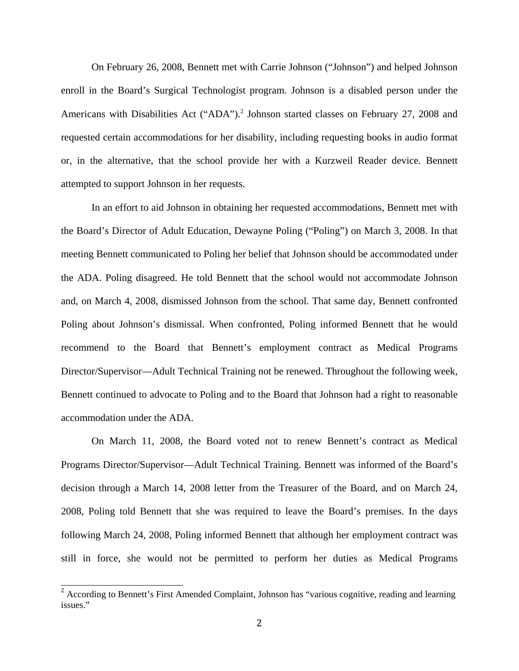On February 26, 2008, Bennett met with Carrie Johnson ("Johnson") and helped Johnson enroll in the Board's Surgical Technologist program. Johnson is a disabled person under the Americans with Disabilities Act ("ADA").<sup>2</sup> Johnson started classes on February 27, 2008 and requested certain accommodations for her disability, including requesting books in audio format or, in the alternative, that the school provide her with a Kurzweil Reader device. Bennett attempted to support Johnson in her requests.

In an effort to aid Johnson in obtaining her requested accommodations, Bennett met with the Board's Director of Adult Education, Dewayne Poling ("Poling") on March 3, 2008. In that meeting Bennett communicated to Poling her belief that Johnson should be accommodated under the ADA. Poling disagreed. He told Bennett that the school would not accommodate Johnson and, on March 4, 2008, dismissed Johnson from the school. That same day, Bennett confronted Poling about Johnson's dismissal. When confronted, Poling informed Bennett that he would recommend to the Board that Bennett's employment contract as Medical Programs Director/Supervisor—Adult Technical Training not be renewed. Throughout the following week, Bennett continued to advocate to Poling and to the Board that Johnson had a right to reasonable accommodation under the ADA.

On March 11, 2008, the Board voted not to renew Bennett's contract as Medical Programs Director/Supervisor—Adult Technical Training. Bennett was informed of the Board's decision through a March 14, 2008 letter from the Treasurer of the Board, and on March 24, 2008, Poling told Bennett that she was required to leave the Board's premises. In the days following March 24, 2008, Poling informed Bennett that although her employment contract was still in force, she would not be permitted to perform her duties as Medical Programs

<sup>&</sup>lt;sup>2</sup> According to Bennett's First Amended Complaint, Johnson has "various cognitive, reading and learning issues."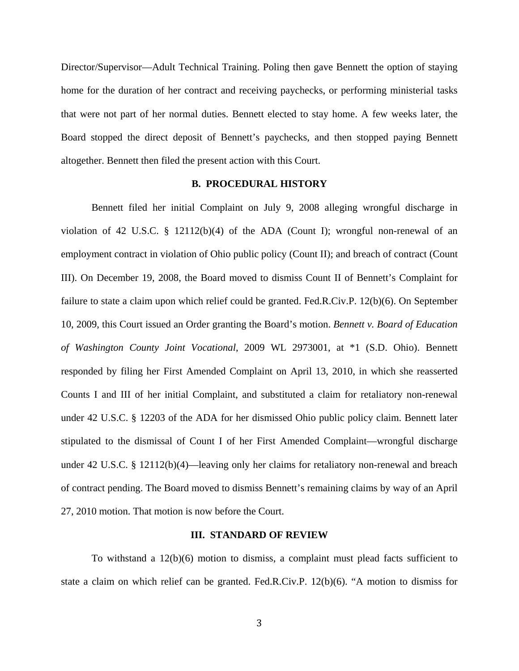Director/Supervisor—Adult Technical Training. Poling then gave Bennett the option of staying home for the duration of her contract and receiving paychecks, or performing ministerial tasks that were not part of her normal duties. Bennett elected to stay home. A few weeks later, the Board stopped the direct deposit of Bennett's paychecks, and then stopped paying Bennett altogether. Bennett then filed the present action with this Court.

## **B. PROCEDURAL HISTORY**

Bennett filed her initial Complaint on July 9, 2008 alleging wrongful discharge in violation of 42 U.S.C.  $\S$  12112(b)(4) of the ADA (Count I); wrongful non-renewal of an employment contract in violation of Ohio public policy (Count II); and breach of contract (Count III). On December 19, 2008, the Board moved to dismiss Count II of Bennett's Complaint for failure to state a claim upon which relief could be granted. Fed.R.Civ.P. 12(b)(6). On September 10, 2009, this Court issued an Order granting the Board's motion. *Bennett v. Board of Education of Washington County Joint Vocational*, 2009 WL 2973001, at \*1 (S.D. Ohio). Bennett responded by filing her First Amended Complaint on April 13, 2010, in which she reasserted Counts I and III of her initial Complaint, and substituted a claim for retaliatory non-renewal under 42 U.S.C. § 12203 of the ADA for her dismissed Ohio public policy claim. Bennett later stipulated to the dismissal of Count I of her First Amended Complaint—wrongful discharge under 42 U.S.C. § 12112(b)(4)—leaving only her claims for retaliatory non-renewal and breach of contract pending. The Board moved to dismiss Bennett's remaining claims by way of an April 27, 2010 motion. That motion is now before the Court.

#### **III. STANDARD OF REVIEW**

To withstand a 12(b)(6) motion to dismiss, a complaint must plead facts sufficient to state a claim on which relief can be granted. Fed.R.Civ.P. 12(b)(6). "A motion to dismiss for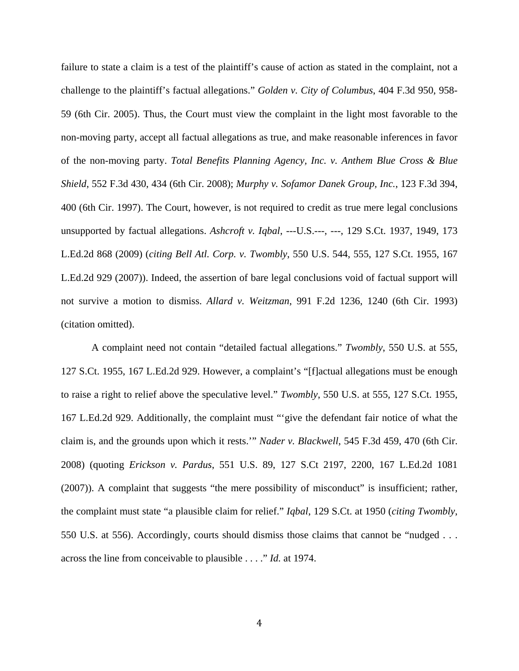failure to state a claim is a test of the plaintiff's cause of action as stated in the complaint, not a challenge to the plaintiff's factual allegations." *Golden v. City of Columbus*, 404 F.3d 950, 958- 59 (6th Cir. 2005). Thus, the Court must view the complaint in the light most favorable to the non-moving party, accept all factual allegations as true, and make reasonable inferences in favor of the non-moving party. *Total Benefits Planning Agency, Inc. v. Anthem Blue Cross & Blue Shield*, 552 F.3d 430, 434 (6th Cir. 2008); *Murphy v. Sofamor Danek Group, Inc.*, 123 F.3d 394, 400 (6th Cir. 1997). The Court, however, is not required to credit as true mere legal conclusions unsupported by factual allegations. *Ashcroft v. Iqbal*, ---U.S.---, ---, 129 S.Ct. 1937, 1949, 173 L.Ed.2d 868 (2009) (*citing Bell Atl. Corp. v. Twombly*, 550 U.S. 544, 555, 127 S.Ct. 1955, 167 L.Ed.2d 929 (2007)). Indeed, the assertion of bare legal conclusions void of factual support will not survive a motion to dismiss. *Allard v. Weitzman*, 991 F.2d 1236, 1240 (6th Cir. 1993) (citation omitted).

A complaint need not contain "detailed factual allegations." *Twombly*, 550 U.S. at 555, 127 S.Ct. 1955, 167 L.Ed.2d 929. However, a complaint's "[f]actual allegations must be enough to raise a right to relief above the speculative level." *Twombly*, 550 U.S. at 555, 127 S.Ct. 1955, 167 L.Ed.2d 929. Additionally, the complaint must "'give the defendant fair notice of what the claim is, and the grounds upon which it rests.'" *Nader v. Blackwell*, 545 F.3d 459, 470 (6th Cir. 2008) (quoting *Erickson v. Pardus*, 551 U.S. 89, 127 S.Ct 2197, 2200, 167 L.Ed.2d 1081 (2007)). A complaint that suggests "the mere possibility of misconduct" is insufficient; rather, the complaint must state "a plausible claim for relief." *Iqbal*, 129 S.Ct. at 1950 (*citing Twombly*, 550 U.S. at 556). Accordingly, courts should dismiss those claims that cannot be "nudged . . . across the line from conceivable to plausible . . . ." *Id.* at 1974.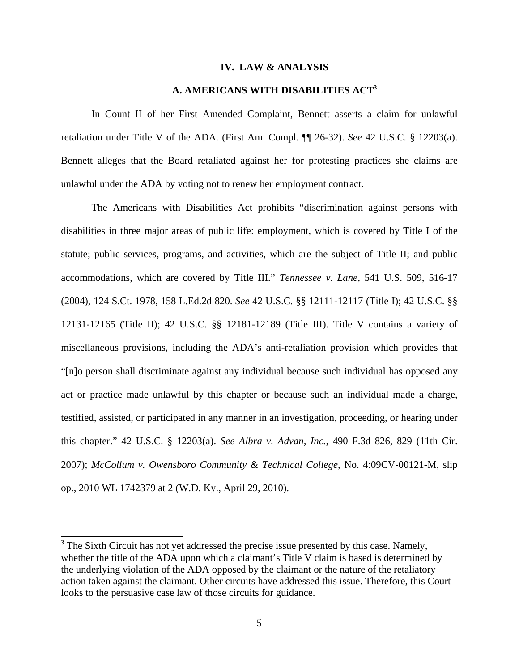#### **IV. LAW & ANALYSIS**

## **A. AMERICANS WITH DISABILITIES ACT<sup>3</sup>**

In Count II of her First Amended Complaint, Bennett asserts a claim for unlawful retaliation under Title V of the ADA. (First Am. Compl. ¶¶ 26-32). *See* 42 U.S.C. § 12203(a). Bennett alleges that the Board retaliated against her for protesting practices she claims are unlawful under the ADA by voting not to renew her employment contract.

The Americans with Disabilities Act prohibits "discrimination against persons with disabilities in three major areas of public life: employment, which is covered by Title I of the statute; public services, programs, and activities, which are the subject of Title II; and public accommodations, which are covered by Title III." *Tennessee v. Lane*, 541 U.S. 509, 516-17 (2004), 124 S.Ct. 1978, 158 L.Ed.2d 820. *See* 42 U.S.C. §§ 12111-12117 (Title I); 42 U.S.C. §§ 12131-12165 (Title II); 42 U.S.C. §§ 12181-12189 (Title III). Title V contains a variety of miscellaneous provisions, including the ADA's anti-retaliation provision which provides that "[n]o person shall discriminate against any individual because such individual has opposed any act or practice made unlawful by this chapter or because such an individual made a charge, testified, assisted, or participated in any manner in an investigation, proceeding, or hearing under this chapter." 42 U.S.C. § 12203(a). *See Albra v. Advan, Inc.*, 490 F.3d 826, 829 (11th Cir. 2007); *McCollum v. Owensboro Community & Technical College*, No. 4:09CV-00121-M, slip op., 2010 WL 1742379 at 2 (W.D. Ky., April 29, 2010).

 $3$  The Sixth Circuit has not yet addressed the precise issue presented by this case. Namely, whether the title of the ADA upon which a claimant's Title V claim is based is determined by the underlying violation of the ADA opposed by the claimant or the nature of the retaliatory action taken against the claimant. Other circuits have addressed this issue. Therefore, this Court looks to the persuasive case law of those circuits for guidance.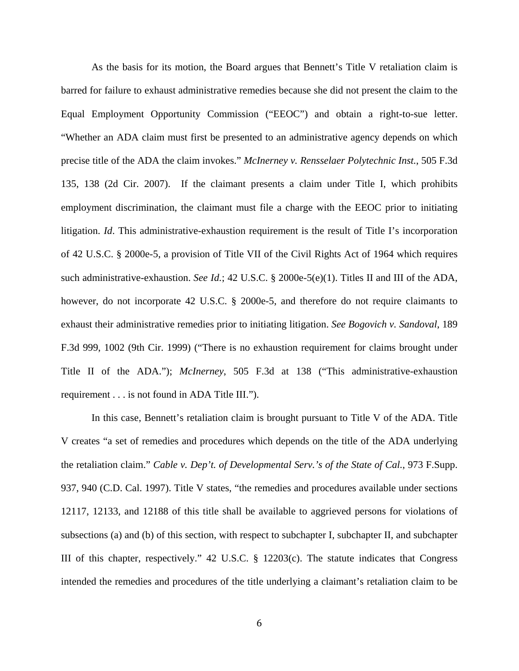As the basis for its motion, the Board argues that Bennett's Title V retaliation claim is barred for failure to exhaust administrative remedies because she did not present the claim to the Equal Employment Opportunity Commission ("EEOC") and obtain a right-to-sue letter. "Whether an ADA claim must first be presented to an administrative agency depends on which precise title of the ADA the claim invokes." *McInerney v. Rensselaer Polytechnic Inst.*, 505 F.3d 135, 138 (2d Cir. 2007). If the claimant presents a claim under Title I, which prohibits employment discrimination, the claimant must file a charge with the EEOC prior to initiating litigation. *Id*. This administrative-exhaustion requirement is the result of Title I's incorporation of 42 U.S.C. § 2000e-5, a provision of Title VII of the Civil Rights Act of 1964 which requires such administrative-exhaustion. *See Id.*; 42 U.S.C. § 2000e-5(e)(1). Titles II and III of the ADA, however, do not incorporate 42 U.S.C. § 2000e-5, and therefore do not require claimants to exhaust their administrative remedies prior to initiating litigation. *See Bogovich v. Sandoval*, 189 F.3d 999, 1002 (9th Cir. 1999) ("There is no exhaustion requirement for claims brought under Title II of the ADA."); *McInerney*, 505 F.3d at 138 ("This administrative-exhaustion requirement . . . is not found in ADA Title III.").

In this case, Bennett's retaliation claim is brought pursuant to Title V of the ADA. Title V creates "a set of remedies and procedures which depends on the title of the ADA underlying the retaliation claim." *Cable v. Dep't. of Developmental Serv.'s of the State of Cal.*, 973 F.Supp. 937, 940 (C.D. Cal. 1997). Title V states, "the remedies and procedures available under sections 12117, 12133, and 12188 of this title shall be available to aggrieved persons for violations of subsections (a) and (b) of this section, with respect to subchapter I, subchapter II, and subchapter III of this chapter, respectively." 42 U.S.C. § 12203(c). The statute indicates that Congress intended the remedies and procedures of the title underlying a claimant's retaliation claim to be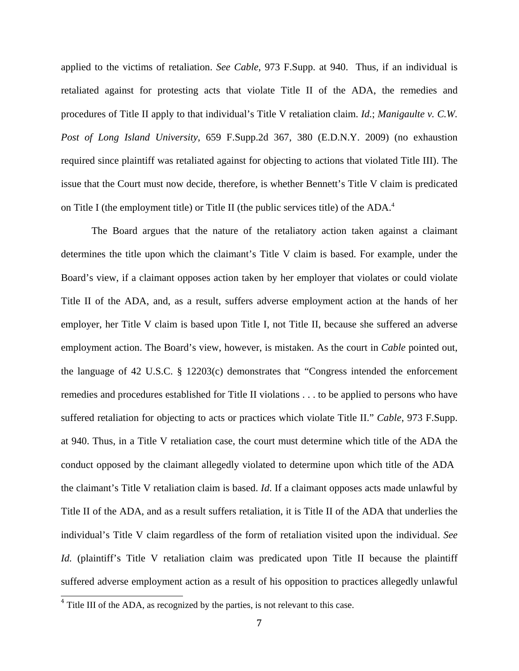applied to the victims of retaliation. *See Cable*, 973 F.Supp. at 940. Thus, if an individual is retaliated against for protesting acts that violate Title II of the ADA, the remedies and procedures of Title II apply to that individual's Title V retaliation claim. *Id.*; *Manigaulte v. C.W. Post of Long Island University*, 659 F.Supp.2d 367, 380 (E.D.N.Y. 2009) (no exhaustion required since plaintiff was retaliated against for objecting to actions that violated Title III). The issue that the Court must now decide, therefore, is whether Bennett's Title V claim is predicated on Title I (the employment title) or Title II (the public services title) of the ADA.<sup>4</sup>

The Board argues that the nature of the retaliatory action taken against a claimant determines the title upon which the claimant's Title V claim is based. For example, under the Board's view, if a claimant opposes action taken by her employer that violates or could violate Title II of the ADA, and, as a result, suffers adverse employment action at the hands of her employer, her Title V claim is based upon Title I, not Title II, because she suffered an adverse employment action. The Board's view, however, is mistaken. As the court in *Cable* pointed out, the language of 42 U.S.C. § 12203(c) demonstrates that "Congress intended the enforcement remedies and procedures established for Title II violations . . . to be applied to persons who have suffered retaliation for objecting to acts or practices which violate Title II." *Cable*, 973 F.Supp. at 940. Thus, in a Title V retaliation case, the court must determine which title of the ADA the conduct opposed by the claimant allegedly violated to determine upon which title of the ADA the claimant's Title V retaliation claim is based. *Id*. If a claimant opposes acts made unlawful by Title II of the ADA, and as a result suffers retaliation, it is Title II of the ADA that underlies the individual's Title V claim regardless of the form of retaliation visited upon the individual. *See Id.* (plaintiff's Title V retaliation claim was predicated upon Title II because the plaintiff suffered adverse employment action as a result of his opposition to practices allegedly unlawful

<sup>&</sup>lt;sup>4</sup> Title III of the ADA, as recognized by the parties, is not relevant to this case.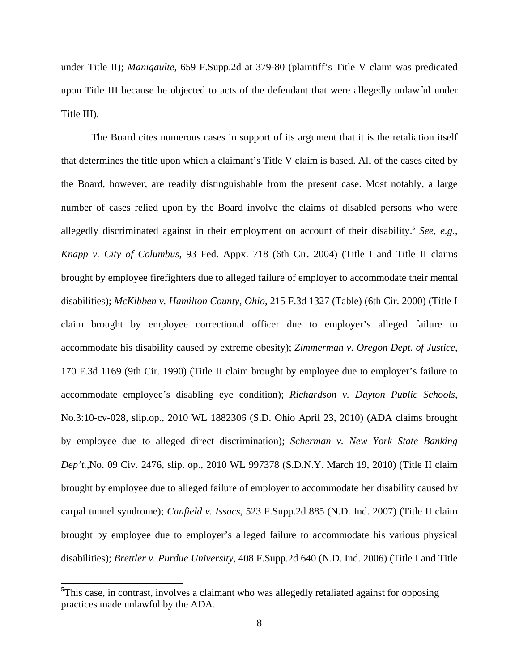under Title II); *Manigaulte*, 659 F.Supp.2d at 379-80 (plaintiff's Title V claim was predicated upon Title III because he objected to acts of the defendant that were allegedly unlawful under Title III).

The Board cites numerous cases in support of its argument that it is the retaliation itself that determines the title upon which a claimant's Title V claim is based. All of the cases cited by the Board, however, are readily distinguishable from the present case. Most notably, a large number of cases relied upon by the Board involve the claims of disabled persons who were allegedly discriminated against in their employment on account of their disability.<sup>5</sup> See, e.g., *Knapp v. City of Columbus*, 93 Fed. Appx. 718 (6th Cir. 2004) (Title I and Title II claims brought by employee firefighters due to alleged failure of employer to accommodate their mental disabilities); *McKibben v. Hamilton County, Ohio*, 215 F.3d 1327 (Table) (6th Cir. 2000) (Title I claim brought by employee correctional officer due to employer's alleged failure to accommodate his disability caused by extreme obesity); *Zimmerman v. Oregon Dept. of Justice*, 170 F.3d 1169 (9th Cir. 1990) (Title II claim brought by employee due to employer's failure to accommodate employee's disabling eye condition); *Richardson v. Dayton Public Schools*, No.3:10-cv-028, slip.op., 2010 WL 1882306 (S.D. Ohio April 23, 2010) (ADA claims brought by employee due to alleged direct discrimination); *Scherman v. New York State Banking Dep't.*,No. 09 Civ. 2476, slip. op., 2010 WL 997378 (S.D.N.Y. March 19, 2010) (Title II claim brought by employee due to alleged failure of employer to accommodate her disability caused by carpal tunnel syndrome); *Canfield v. Issacs*, 523 F.Supp.2d 885 (N.D. Ind. 2007) (Title II claim brought by employee due to employer's alleged failure to accommodate his various physical disabilities); *Brettler v. Purdue University*, 408 F.Supp.2d 640 (N.D. Ind. 2006) (Title I and Title

 $5$ This case, in contrast, involves a claimant who was allegedly retaliated against for opposing practices made unlawful by the ADA.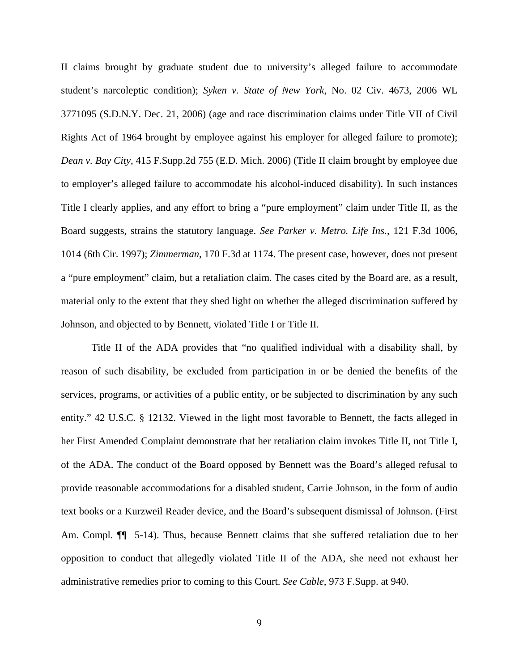II claims brought by graduate student due to university's alleged failure to accommodate student's narcoleptic condition); *Syken v. State of New York*, No. 02 Civ. 4673, 2006 WL 3771095 (S.D.N.Y. Dec. 21, 2006) (age and race discrimination claims under Title VII of Civil Rights Act of 1964 brought by employee against his employer for alleged failure to promote); *Dean v. Bay City*, 415 F.Supp.2d 755 (E.D. Mich. 2006) (Title II claim brought by employee due to employer's alleged failure to accommodate his alcohol-induced disability). In such instances Title I clearly applies, and any effort to bring a "pure employment" claim under Title II, as the Board suggests, strains the statutory language. *See Parker v. Metro. Life Ins.*, 121 F.3d 1006, 1014 (6th Cir. 1997); *Zimmerman*, 170 F.3d at 1174. The present case, however, does not present a "pure employment" claim, but a retaliation claim. The cases cited by the Board are, as a result, material only to the extent that they shed light on whether the alleged discrimination suffered by Johnson, and objected to by Bennett, violated Title I or Title II.

Title II of the ADA provides that "no qualified individual with a disability shall, by reason of such disability, be excluded from participation in or be denied the benefits of the services, programs, or activities of a public entity, or be subjected to discrimination by any such entity." 42 U.S.C. § 12132. Viewed in the light most favorable to Bennett, the facts alleged in her First Amended Complaint demonstrate that her retaliation claim invokes Title II, not Title I, of the ADA. The conduct of the Board opposed by Bennett was the Board's alleged refusal to provide reasonable accommodations for a disabled student, Carrie Johnson, in the form of audio text books or a Kurzweil Reader device, and the Board's subsequent dismissal of Johnson. (First Am. Compl. ¶¶ 5-14). Thus, because Bennett claims that she suffered retaliation due to her opposition to conduct that allegedly violated Title II of the ADA, she need not exhaust her administrative remedies prior to coming to this Court. *See Cable*, 973 F.Supp. at 940.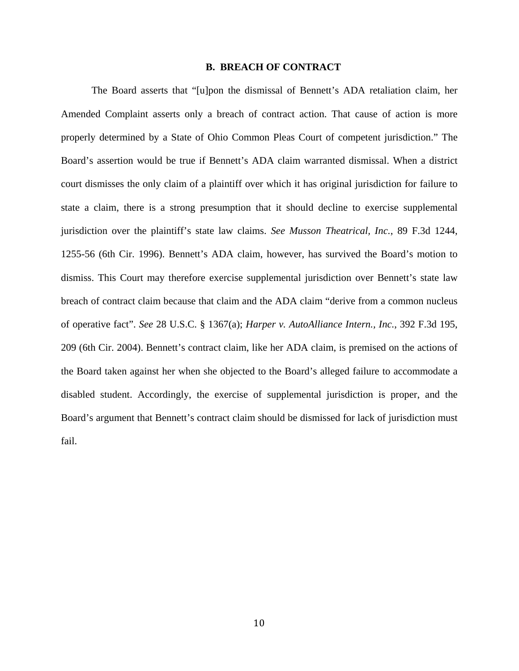#### **B. BREACH OF CONTRACT**

The Board asserts that "[u]pon the dismissal of Bennett's ADA retaliation claim, her Amended Complaint asserts only a breach of contract action. That cause of action is more properly determined by a State of Ohio Common Pleas Court of competent jurisdiction." The Board's assertion would be true if Bennett's ADA claim warranted dismissal. When a district court dismisses the only claim of a plaintiff over which it has original jurisdiction for failure to state a claim, there is a strong presumption that it should decline to exercise supplemental jurisdiction over the plaintiff's state law claims. *See Musson Theatrical, Inc.*, 89 F.3d 1244, 1255-56 (6th Cir. 1996). Bennett's ADA claim, however, has survived the Board's motion to dismiss. This Court may therefore exercise supplemental jurisdiction over Bennett's state law breach of contract claim because that claim and the ADA claim "derive from a common nucleus of operative fact". *See* 28 U.S.C. § 1367(a); *Harper v. AutoAlliance Intern., Inc.*, 392 F.3d 195, 209 (6th Cir. 2004). Bennett's contract claim, like her ADA claim, is premised on the actions of the Board taken against her when she objected to the Board's alleged failure to accommodate a disabled student. Accordingly, the exercise of supplemental jurisdiction is proper, and the Board's argument that Bennett's contract claim should be dismissed for lack of jurisdiction must fail.